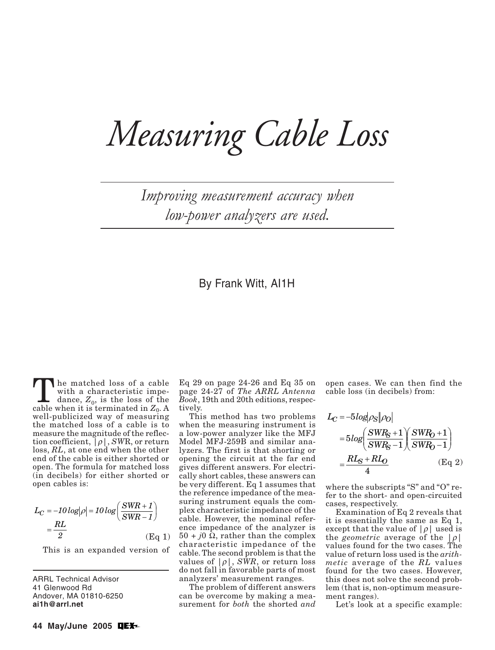# *Measuring Cable Loss*

*Improving measurement accuracy when low-power analyzers are used.*

### By Frank Witt, AI1H

The matched loss of a cable<br>with a characteristic impedance,  $Z_0$ , is the loss of the<br>cable when it is terminated in  $Z_0$ . with a characteristic impecable when it is terminated in  $Z_0$ . A well-publicized way of measuring the matched loss of a cable is to measure the magnitude of the reflection coefficient, |ρ|, *SW*R, or return loss, *RL*, at one end when the other end of the cable is either shorted or open. The formula for matched loss (in decibels) for either shorted or open cables is:

$$
L_C = -10 \log |\rho| = 10 \log \left( \frac{SWR + 1}{SWR - 1} \right)
$$

$$
= \frac{RL}{2}
$$
 (Eq 1)

This is an expanded version of

ARRL Technical Advisor 41 Glenwood Rd Andover, MA 01810-6250 **ai1h@arrl.net**

Eq 29 on page 24-26 and Eq 35 on page 24-27 of *The ARRL Antenna Book*, 19th and 20th editions, respectively.

This method has two problems when the measuring instrument is a low-power analyzer like the MFJ Model MFJ-259B and similar analyzers. The first is that shorting or opening the circuit at the far end gives different answers. For electrically short cables, these answers can be very different. Eq 1 assumes that the reference impedance of the measuring instrument equals the complex characteristic impedance of the cable. However, the nominal reference impedance of the analyzer is 50 + *j*0 Ω, rather than the complex characteristic impedance of the cable. The second problem is that the values of  $|\rho|$ ,  $\widehat{SWR}$ , or return loss do not fall in favorable parts of most analyzers' measurement ranges.

The problem of different answers can be overcome by making a measurement for *both* the shorted *and* open cases. We can then find the cable loss (in decibels) from:

$$
L_C = -5\log|\rho_S||\rho_O|
$$
  
=  $5\log\left(\frac{SWR_S + 1}{SWR_S - 1}\right)\left(\frac{SWR_O + 1}{SWR_O - 1}\right)$   
=  $\frac{RL_S + RL_O}{4}$  (Eq 2)

where the subscripts "S" and "O" refer to the short- and open-circuited cases, respectively.

Examination of Eq 2 reveals that it is essentially the same as Eq 1, except that the value of  $|\rho|$  used is the *geometric* average of the  $|\rho|$ values found for the two cases. The value of return loss used is the *arithmetic* average of the *RL* values found for the two cases. However, this does not solve the second problem (that is, non-optimum measurement ranges).

Let's look at a specific example: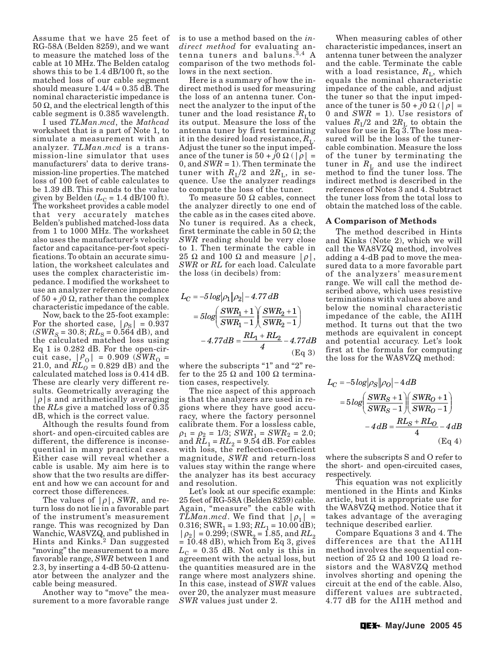Assume that we have 25 feet of RG-58A (Belden 8259), and we want to measure the matched loss of the cable at 10 MHz. The Belden catalog shows this to be 1.4 dB/100 ft, so the matched loss of our cable segment should measure  $1.4/4 = 0.35$  dB. The nominal characteristic impedance is 50 Ω, and the electrical length of this cable segment is 0.385 wavelength.

I used *TLMan*.*mcd*, the *Mathcad* worksheet that is a part of Note 1, to simulate a measurement with an analyzer. *TLMan*.*mcd* is a transmission-line simulator that uses manufacturers' data to derive transmission-line properties. The matched loss of 100 feet of cable calculates to be 1.39 dB. This rounds to the value given by Belden  $(L_C = 1.4$  dB/100 ft). The worksheet provides a cable model that very accurately matches Belden's published matched-loss data from 1 to 1000 MHz. The worksheet also uses the manufacturer's velocity factor and capacitance-per-foot specifications. To obtain an accurate simulation, the worksheet calculates and uses the complex characteristic impedance. I modified the worksheet to use an analyzer reference impedance of  $50 + j0 \Omega$ , rather than the complex characteristic impedance of the cable.

Now, back to the 25-foot example: For the shorted case,  $|\rho_{\rm S}| = 0.937$  $(SWR<sub>S</sub> = 30.8; RL<sub>S</sub> = 0.564 dB)$ , and the calculated matched loss using Eq 1 is 0.282 dB. For the open-circuit case,  $|\rho_0| = 0.909$  (*SWR*<sub>O</sub> = 21.0, and  $RL_0 = 0.829$  dB) and the calculated matched loss is 0.414 dB. These are clearly very different results. Geometrically averaging the  $|\rho|$ s and arithmetically averaging the *RL*s give a matched loss of 0.35 dB, which is the correct value.

Although the results found from short- and open-circuited cables are different, the difference is inconsequential in many practical cases. Either case will reveal whether a cable is usable. My aim here is to show that the two results are different and how we can account for and correct those differences.

The values of  $|\rho|$ , *SWR*, and return loss do not lie in a favorable part of the instrument's measurement range. This was recognized by Dan Wanchic, WA8VZQ, and published in Hints and Kinks.2 Dan suggested "moving" the measurement to a more favorable range, *SWR* between 1 and 2.3, by inserting a 4-dB 50- $\Omega$  attenuator between the analyzer and the cable being measured.

Another way to "move" the measurement to a more favorable range is to use a method based on the *indirect method* for evaluating antenna tuners and baluns.<sup>3,4</sup> A comparison of the two methods follows in the next section.

Here is a summary of how the indirect method is used for measuring the loss of an antenna tuner. Connect the analyzer to the input of the tuner and the load resistance  $R_{\text{I}}$  to its output. Measure the loss of the antenna tuner by first terminating it in the desired load resistance,  $R_{\text{L}}$ . Adjust the tuner so the input impedance of the tuner is  $50 + j0 \Omega$  (| $\rho$ | = 0, and *SWR* = 1). Then terminate the tuner with  $R_{\text{L}}/2$  and  $2R_{\text{L}}$ , in sequence. Use the analyzer readings to compute the loss of the tuner.

To measure 50 Ω cables, connect the analyzer directly to one end of the cable as in the cases cited above. No tuner is required. As a check, first terminate the cable in 50  $\Omega$ ; the *SWR* reading should be very close to 1. Then terminate the cable in 25  $\Omega$  and 100  $\Omega$  and measure  $|\rho|$ , *SWR* or *RL* for each load. Calculate the loss (in decibels) from:

$$
L_C = -5 \log |\rho_1| |\rho_2| - 4.77 dB
$$
  
=  $5 \log \left( \frac{SWR_1 + 1}{SWR_1 - 1} \right) \left( \frac{SWR_2 + 1}{SWR_2 - 1} \right)$   
-  $4.77 dB = \frac{RL_1 + RL_2}{4} - 4.77 dB$  (Eq 3)

where the subscripts "1" and "2" refer to the 25  $\Omega$  and 100  $\Omega$  termination cases, respectively.

The nice aspect of this approach is that the analyzers are used in regions where they have good accuracy, where the factory personnel calibrate them. For a lossless cable,  $\rho_1 = \rho_2 = 1/3$ ; *SWR*<sub>1</sub> = *SWR*<sub>2</sub> = 2.0; and  $RL_1 = RL_2 = 9.54$  dB. For cables with loss, the reflection-coefficient magnitude, *SWR* and return-loss values stay within the range where the analyzer has its best accuracy and resolution.

Let's look at our specific example: 25 feet of RG-58A (Belden 8259) cable. Again, "measure" the cable with *TLMan.mcd.* We find that  $|\rho_1|$  = 0.316; SWR<sub>1</sub> = 1.93;  $RL_1$  = 10.00 dB);  $|\rho_2|$  = 0.299; (SWR<sub>2</sub> = 1.85, and *RL*<sub>2</sub>  $= 10.48$  dB), which from Eq 3, gives  $L_{\rm C}$  = 0.35 dB. Not only is this in agreement with the actual loss, but the quantities measured are in the range where most analyzers shine. In this case, instead of *SWR* values over 20, the analyzer must measure *SWR* values just under 2.

When measuring cables of other characteristic impedances, insert an antenna tuner between the analyzer and the cable. Terminate the cable with a load resistance,  $R_{\text{L}}$ , which equals the nominal characteristic impedance of the cable, and adjust the tuner so that the input impedance of the tuner is  $50 + j0 \Omega (|\rho| =$ 0 and *SWR* = 1). Use resistors of values  $R_{\text{I}}/2$  and  $2R_{\text{L}}$  to obtain the values for use in Eq  $\overline{3}$ . The loss measured will be the loss of the tunercable combination. Measure the loss of the tuner by terminating the tuner in  $R_{\text{L}}$  and use the indirect method to find the tuner loss. The indirect method is described in the references of Notes 3 and 4. Subtract the tuner loss from the total loss to obtain the matched loss of the cable.

#### **A Comparison of Methods**

The method described in Hints and Kinks (Note 2), which we will call the WA8VZQ method, involves adding a 4-dB pad to move the measured data to a more favorable part of the analyzers' measurement range. We will call the method described above, which uses resistive terminations with values above and below the nominal characteristic impedance of the cable, the AI1H method. It turns out that the two methods are equivalent in concept and potential accuracy. Let's look first at the formula for computing the loss for the WA8VZQ method:

$$
L_C = -5\log|\rho_S||\rho_O| - 4dB
$$
  
=  $5\log\left(\frac{SWR_S + 1}{SWR_S - 1}\right)\left(\frac{SWR_O + 1}{SWR_O - 1}\right)$   
 $-4dB = \frac{RL_S + RL_O}{4} - 4dB$   
(Eq 4)

where the subscripts S and O refer to the short- and open-circuited cases, respectively.

This equation was not explicitly mentioned in the Hints and Kinks article, but it is appropriate use for the WA8VZQ method. Notice that it takes advantage of the averaging technique described earlier.

Compare Equations 3 and 4. The differences are that the AI1H method involves the sequential connection of 25 Ω and 100 Ω load resistors and the WA8VZQ method involves shorting and opening the circuit at the end of the cable. Also, different values are subtracted, 4.77 dB for the AI1H method and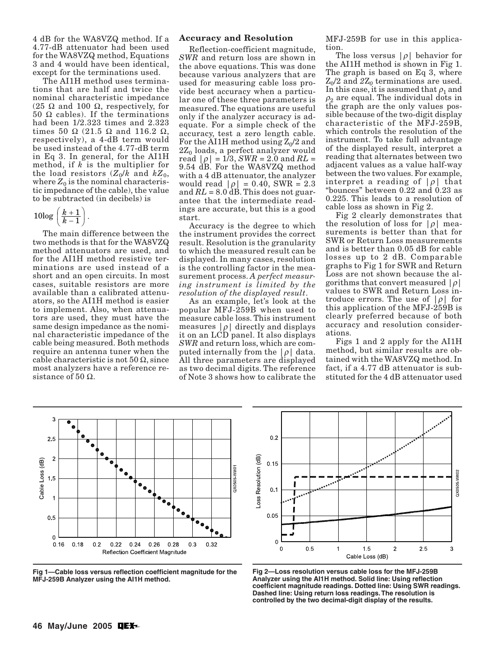4 dB for the WA8VZQ method. If a 4.77-dB attenuator had been used for the WA8VZQ method, Equations 3 and 4 would have been identical, except for the terminations used.

The AI1H method uses terminations that are half and twice the nominal characteristic impedance (25 Ω and 100 Ω, respectively, for 50  $\Omega$  cables). If the terminations had been 1/2.323 times and 2.323 times 50 Ω (21.5 Ω and 116.2 Ω, respectively), a 4-dB term would be used instead of the 4.77-dB term in Eq 3. In general, for the AI1H method, if *k* is the multiplier for the load resistors  $(Z_0/k$  and  $kZ_0$ , where  $Z_0$  is the nominal characteristic impedance of the cable), the value to be subtracted (in decibels) is

$$
10\log\left(\frac{k+1}{k-1}\right).
$$

The main difference between the two methods is that for the WA8VZQ method attenuators are used, and for the AI1H method resistive terminations are used instead of a short and an open circuits. In most cases, suitable resistors are more available than a calibrated attenuators, so the AI1H method is easier to implement. Also, when attenuators are used, they must have the same design impedance as the nominal characteristic impedance of the cable being measured. Both methods require an antenna tuner when the cable characteristic is not  $50 \Omega$ , since most analyzers have a reference resistance of 50  $\Omega$ .

#### **Accuracy and Resolution**

Reflection-coefficient magnitude, *SWR* and return loss are shown in the above equations. This was done because various analyzers that are used for measuring cable loss provide best accuracy when a particular one of these three parameters is measured. The equations are useful only if the analyzer accuracy is adequate. For a simple check of the accuracy, test a zero length cable. For the AI1H method using  $Z_0/2$  and  $2Z_0$  loads, a perfect analyzer would read  $|\rho| = 1/3$ , *SWR* = 2.0 and *RL* = 9.54 dB. For the WA8VZQ method with a 4 dB attenuator, the analyzer would read  $|\rho| = 0.40$ , SWR = 2.3 and *RL* = 8.0 dB. This does not guarantee that the intermediate readings are accurate, but this is a good start.

Accuracy is the degree to which the instrument provides the correct result. Resolution is the granularity to which the measured result can be displayed. In many cases, resolution is the controlling factor in the measurement process. *A perfect measuring instrument is limited by the resolution of the displayed result*.

As an example, let's look at the popular MFJ-259B when used to measure cable loss. This instrument measures  $|\rho|$  directly and displays it on an LCD panel. It also displays *SWR* and return loss, which are computed internally from the  $|\rho|$  data. All three parameters are displayed as two decimal digits. The reference of Note 3 shows how to calibrate the MFJ-259B for use in this application.

The loss versus  $|\rho|$  behavior for the AI1H method is shown in Fig 1. The graph is based on Eq 3, where  $Z_0/2$  and  $2Z_0$  terminations are used. In this case, it is assumed that  $\rho_1$  and  $\rho_2$  are equal. The individual dots in the graph are the only values possible because of the two-digit display characteristic of the MFJ-259B, which controls the resolution of the instrument. To take full advantage of the displayed result, interpret a reading that alternates between two adjacent values as a value half-way between the two values. For example, interpret a reading of  $|\rho|$  that "bounces" between 0.22 and 0.23 as 0.225. This leads to a resolution of cable loss as shown in Fig 2.

Fig 2 clearly demonstrates that the resolution of loss for  $|\rho|$  measurements is better than that for SWR or Return Loss measurements and is better than 0.05 dB for cable losses up to 2 dB. Comparable graphs to Fig 1 for SWR and Return Loss are not shown because the algorithms that convert measured  $|\rho|$ values to SWR and Return Loss introduce errors. The use of  $|\rho|$  for this application of the MFJ-259B is clearly preferred because of both accuracy and resolution considerations.

Figs 1 and 2 apply for the AI1H method, but similar results are obtained with the WA8VZQ method. In fact, if a 4.77 dB attenuator is substituted for the 4 dB attenuator used



**Fig 1—Cable loss versus reflection coefficient magnitude for the MFJ-259B Analyzer using the AI1H method.**



**Fig 2—Loss resolution versus cable loss for the MFJ-259B Analyzer using the AI1H method. Solid line: Using reflection coefficient magnitude readings. Dotted line: Using SWR readings. Dashed line: Using return loss readings. The resolution is controlled by the two decimal-digit display of the results.**